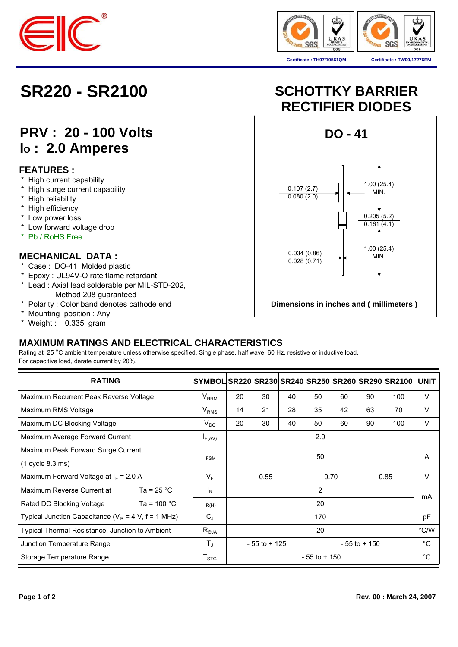



# **PRV : 20 - 100 Volts IO : 2.0 Amperes**

## **FEATURES :**

- \* High current capability
- \* High surge current capability
- \* High reliability
- \* High efficiency
- \* Low power loss
- \* Low forward voltage drop
- \* Pb / RoHS Free

### **MECHANICAL DATA :**

- \* Case : DO-41 Molded plastic
- \* Epoxy : UL94V-O rate flame retardant
- \* Lead : Axial lead solderable per MIL-STD-202, Method 208 guaranteed
- \* Polarity : Color band denotes cathode end
- \* Mounting position : Any
- \* Weight : 0.335 gram

# **SR220 - SR2100 SCHOTTKY BARRIER RECTIFIER DIODES**



## **MAXIMUM RATINGS AND ELECTRICAL CHARACTERISTICS**

Rating at 25 °C ambient temperature unless otherwise specified. Single phase, half wave, 60 Hz, resistive or inductive load. For capacitive load, derate current by 20%.

| <b>RATING</b>                                          | SYMBOL SR220 SR230 SR240 SR250 SR260 SR290 SR2100 |                                    |    |    |    |        |    |      | <b>UNIT</b> |
|--------------------------------------------------------|---------------------------------------------------|------------------------------------|----|----|----|--------|----|------|-------------|
| Maximum Recurrent Peak Reverse Voltage                 | $V_{RRM}$                                         | 20                                 | 30 | 40 | 50 | 60     | 90 | 100  | V           |
| Maximum RMS Voltage                                    | $\rm V_{RMS}$                                     | 14                                 | 21 | 28 | 35 | 42     | 63 | 70   | $\vee$      |
| Maximum DC Blocking Voltage                            | $V_{DC}$                                          | 20                                 | 30 | 40 | 50 | 60     | 90 | 100  | $\vee$      |
| Maximum Average Forward Current                        | $I_{F(AV)}$                                       | 2.0                                |    |    |    |        |    |      |             |
| Maximum Peak Forward Surge Current,                    |                                                   | 50                                 |    |    |    |        |    |      | A           |
| $(1 \text{ cycle } 8.3 \text{ ms})$                    | I <sub>FSM</sub>                                  |                                    |    |    |    |        |    |      |             |
| Maximum Forward Voltage at $I_F$ = 2.0 A               | $V_F$                                             | 0.70<br>0.55<br>0.85               |    |    |    | $\vee$ |    |      |             |
| Ta = $25 °C$<br>Maximum Reverse Current at             | l <sub>R</sub>                                    | $\overline{2}$                     |    |    |    |        |    |      | mA          |
| Ta = $100 °C$<br>Rated DC Blocking Voltage             | $I_{R(H)}$                                        | 20                                 |    |    |    |        |    |      |             |
| Typical Junction Capacitance ( $V_R$ = 4 V, f = 1 MHz) | $C_{J}$                                           | 170                                |    |    |    |        |    |      | рF          |
| Typical Thermal Resistance, Junction to Ambient        | $R_{\theta JA}$                                   | 20                                 |    |    |    |        |    | °C/W |             |
| Junction Temperature Range                             | $T_{\rm J}$                                       | $-55$ to $+125$<br>$-55$ to $+150$ |    |    |    |        | °C |      |             |
| Storage Temperature Range                              | $\mathsf{T}_{\text{STG}}$                         | $-55$ to $+150$                    |    |    |    |        |    |      | °C          |